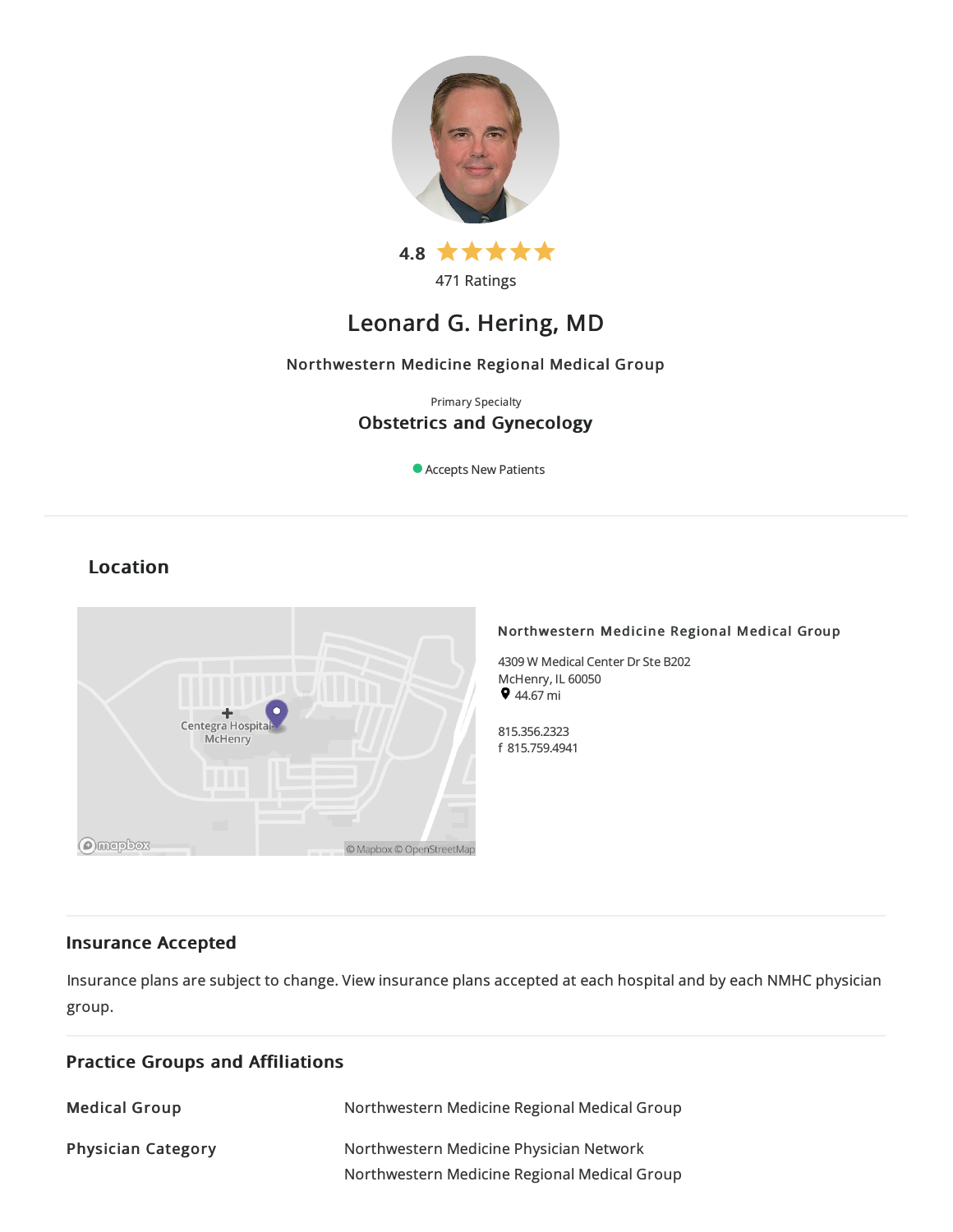

471 Ratings

# Leonard G. Hering, MD

## Northwestern Medicine Regional Medical Group

## Primary Specialty Obstetrics and Gynecology

Accepts New Patients

## Location



## Northwestern Medicine Regional Medical Group

4309 W Medical Center Dr Ste B202 McHenry, IL 60050  $944.67 \text{ mi}$ 

815.356.2323 f 815.759.4941

## Insurance Accepted

Insurance plans are subject to change. View [insurance](https://www.nm.org/patients-and-visitors/billing-and-insurance/insurance-information/accepted-insurance-plans) plans accepted at each hospital and by each NMHC physician group.

| <b>Practice Groups and Affiliations</b> |                                                                                         |  |
|-----------------------------------------|-----------------------------------------------------------------------------------------|--|
| <b>Medical Group</b>                    | Northwestern Medicine Regional Medical Group                                            |  |
| <b>Physician Category</b>               | Northwestern Medicine Physician Network<br>Northwestern Medicine Regional Medical Group |  |
|                                         |                                                                                         |  |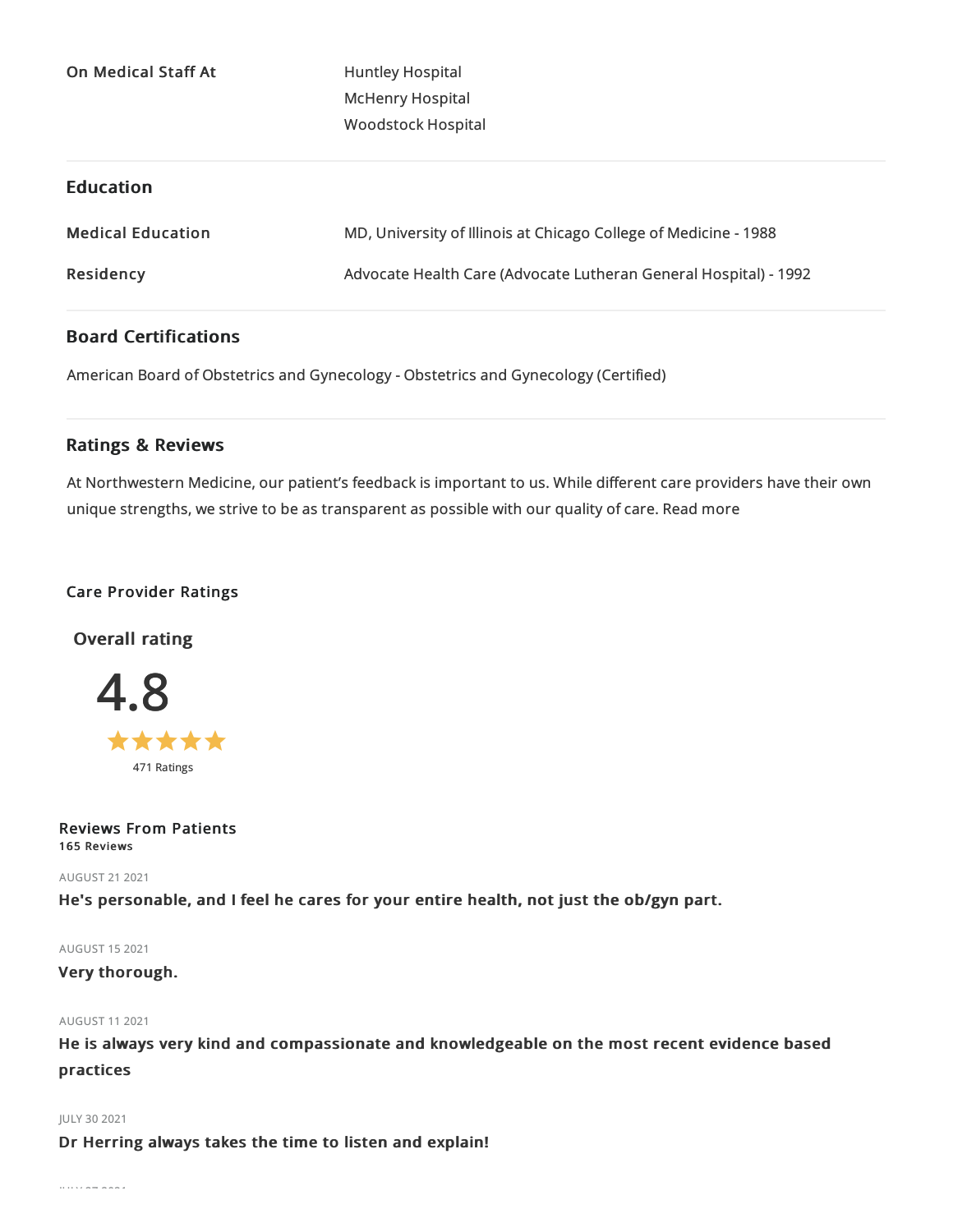On Medical Staff At Huntley Hospital

McHenry Hospital Woodstock Hospital

## Education

| <b>Medical Education</b> | MD, University of Illinois at Chicago College of Medicine - 1988 |
|--------------------------|------------------------------------------------------------------|
| Residency                | Advocate Health Care (Advocate Lutheran General Hospital) - 1992 |

## Board Certifications

American Board of Obstetrics and Gynecology - Obstetrics and Gynecology (Certified)

## Ratings & Reviews

At Northwestern Medicine, our patient's feedback is important to us. While different care providers have their own unique strengths, we strive to be as transparent as possible with our quality of care. Read more

## Care Provider Ratings

Overall rating



Reviews From Patients 165 Reviews

AUGUST 212021

He's personable, and I feel he cares for your entire health, not just the ob/gyn part.

AUGUST 152021

Very thorough.

AUGUST 112021

He is always very kind and compassionate and knowledgeable on the most recent evidence based practices

JULY 30 2021

Dr Herring always takes the time to listen and explain!

JULY 272021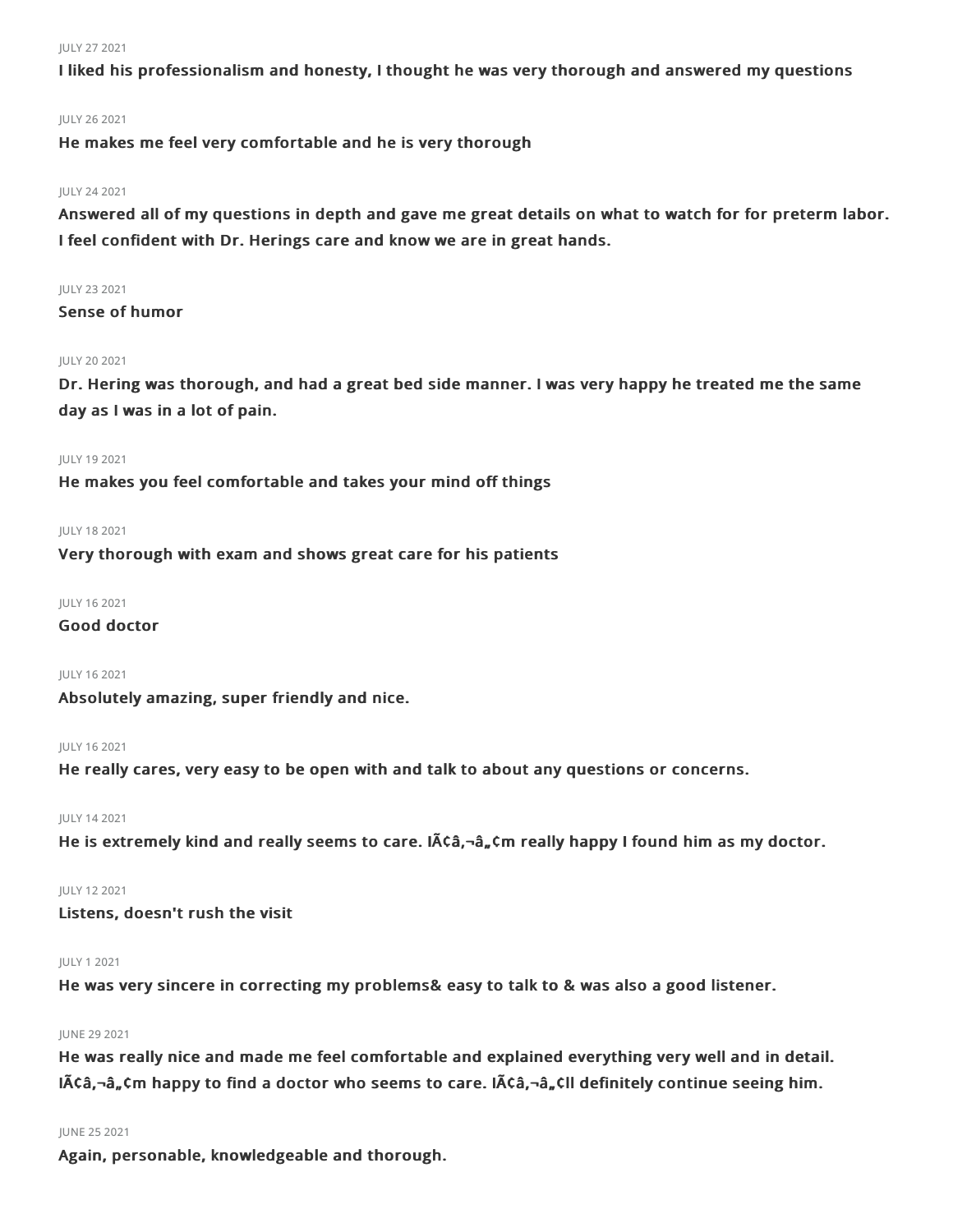#### JULY 272021

I liked his professionalism and honesty, I thought he was very thorough and answered my questions

## JULY 262021

He makes me feel very comfortable and he is very thorough

#### JULY 242021

Answered all of my questions in depth and gave me great details on what to watch for for preterm labor. I feel confident with Dr. Herings care and know we are in great hands.

#### JULY 232021

Sense of humor

#### JULY 202021

Dr. Hering was thorough, and had a great bed side manner. I was very happy he treated me the same day as I was in a lot of pain.

#### JULY 192021

He makes you feel comfortable and takes your mind off things

#### JULY 182021

Very thorough with exam and shows great care for his patients

#### JULY 162021

## Good doctor

## JULY 162021

Absolutely amazing, super friendly and nice.

#### JULY 162021

He really cares, very easy to be open with and talk to about any questions or concerns.

### JULY 142021

He is extremely kind and really seems to care. IACa,-a, Cm really happy I found him as my doctor.

#### JULY 122021

Listens, doesn't rush the visit

#### JULY 12021

He was very sincere in correcting my problems& easy to talk to & was also a good listener.

#### JUNE 29 2021

He was really nice and made me feel comfortable and explained everything very well and in detail.  $I\tilde{A}\tilde{C}$  a,  $\tilde{C}$  happy to find a doctor who seems to care. I $\tilde{A}\tilde{C}$  a,  $\tilde{C}$ ll definitely continue seeing him.

#### JUNE 252021

Again, personable, knowledgeable and thorough.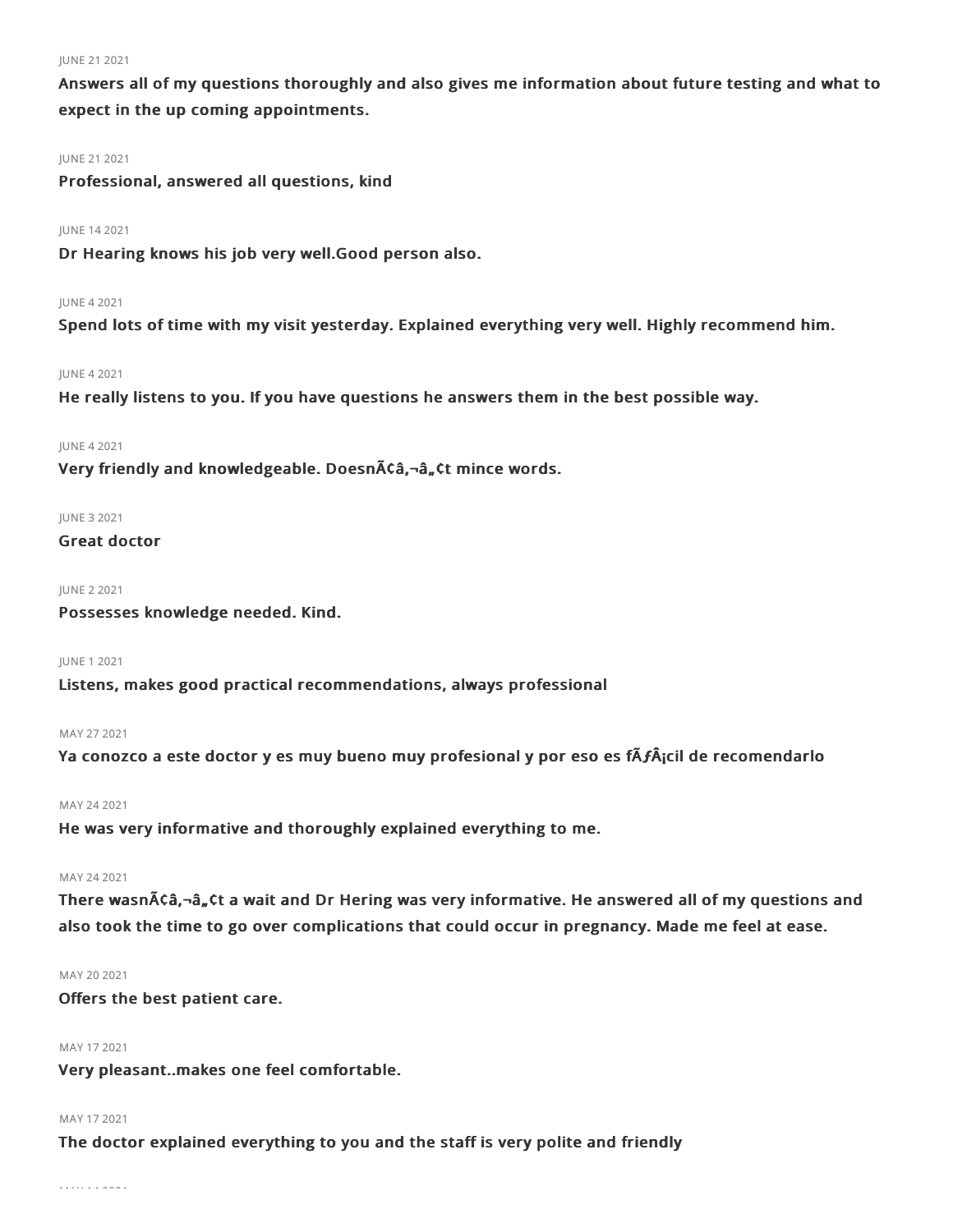#### JUNE 21 2021

Answers all of my questions thoroughly and also gives me information about future testing and what to expect in the up coming appointments.

#### JUNE 21 2021

Professional, answered all questions, kind

## JUNE 142021

Dr Hearing knows his job very well.Good person also.

## JUNE 42021

Spend lots of time with my visit yesterday. Explained everything very well. Highly recommend him.

## JUNE 42021

He really listens to you. If you have questions he answers them in the best possible way.

## JUNE 42021

Very friendly and knowledgeable. Doesnââ,¬â"¢t mince words.

## JUNE 32021

```
Great doctor
```
## JUNE 22021

Possesses knowledge needed. Kind.

#### JUNE 12021

Listens, makes good practical recommendations, always professional

## MAY 272021

Ya conozco a este doctor y es muy bueno muy profesional y por eso es fÃ**ƒ**¡cil de recomendarlo

## MAY 242021

He was very informative and thoroughly explained everything to me.

#### MAY 242021

There wasn $\tilde{A}$ ca, $-\hat{a}$ , $\tilde{C}$ t a wait and Dr Hering was very informative. He answered all of my questions and also took the time to go over complications that could occur in pregnancy. Made me feel at ease.

## MAY 20 2021

Offers the best patient care.

## MAY 172021

Very pleasant..makes one feel comfortable.

## MAY 172021

The doctor explained everything to you and the staff is very polite and friendly

MAY 142021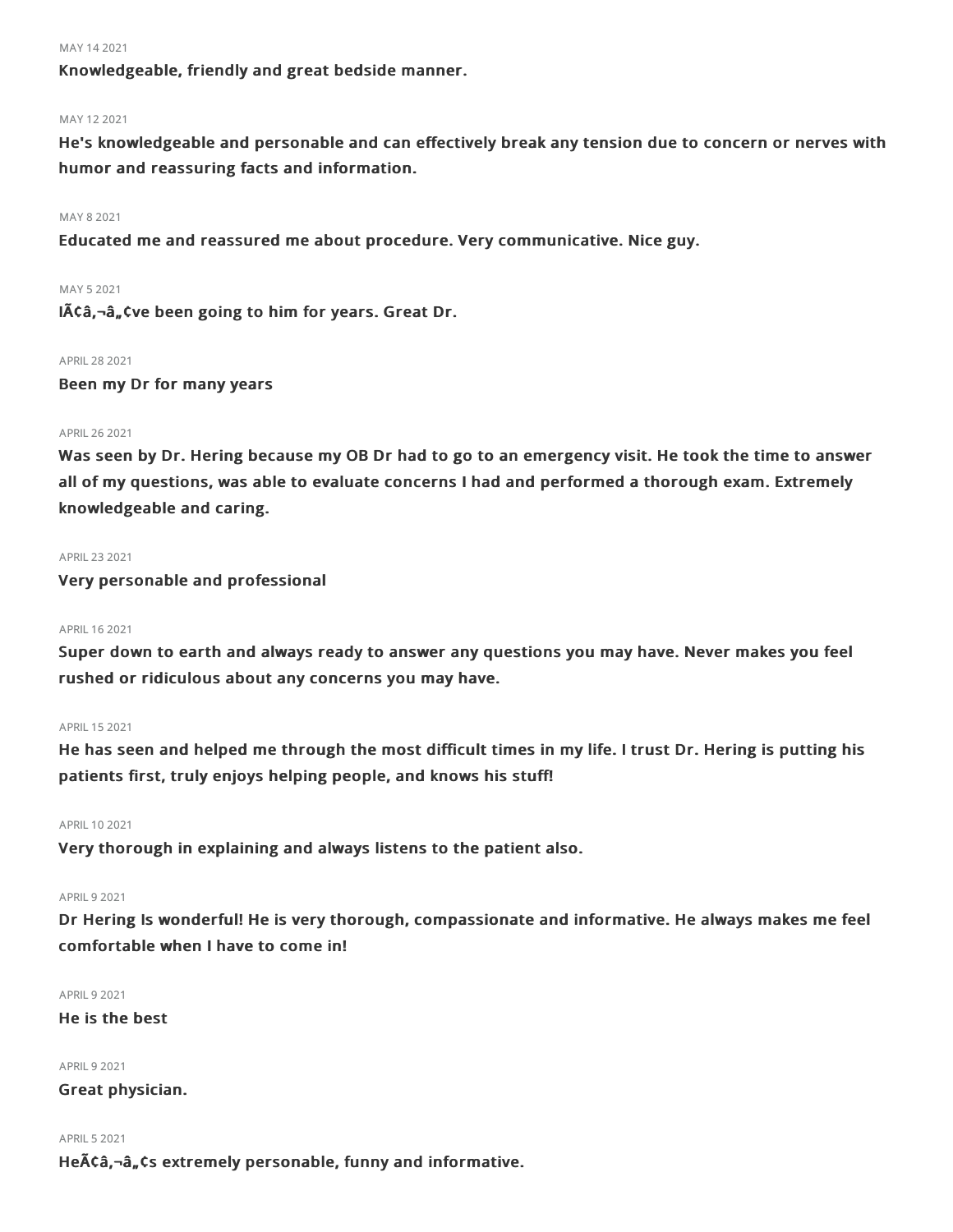#### MAY 14 2021

Knowledgeable, friendly and great bedside manner.

## MAY 122021

He's knowledgeable and personable and can effectively break any tension due to concern or nerves with humor and reassuring facts and information.

#### MAY 82021

Educated me and reassured me about procedure. Very communicative. Nice guy.

#### MAY 52021

 $I$  $\tilde{A}$  $\zeta$  $\hat{a}$ <sub>n</sub> $\zeta$  ve been going to him for years. Great Dr.

#### APRIL282021

Been my Dr for many years

## APRIL 26 2021

Was seen by Dr. Hering because my OB Dr had to go to an emergency visit. He took the time to answer all of my questions, was able to evaluate concerns I had and performed a thorough exam. Extremely knowledgeable and caring.

#### APRIL232021

Very personable and professional

#### APRIL 16 2021

Super down to earth and always ready to answer any questions you may have. Never makes you feel rushed or ridiculous about any concerns you may have.

### APRIL 15 2021

He has seen and helped me through the most difficult times in my life. I trust Dr. Hering is putting his patients first, truly enjoys helping people, and knows his stuff!

#### APRIL 10 2021

Very thorough in explaining and always listens to the patient also.

## APRIL 9 2021

Dr Hering Is wonderful! He is very thorough, compassionate and informative. He always makes me feel comfortable when I have to come in!

APRIL92021

He is the best

**APRIL 9 2021** 

Great physician.

#### **APRIL 5 2021**

He $\tilde{A}\tilde{C}\hat{a}$ ,  $\tilde{a}$ ,  $\tilde{c}$  s extremely personable, funny and informative.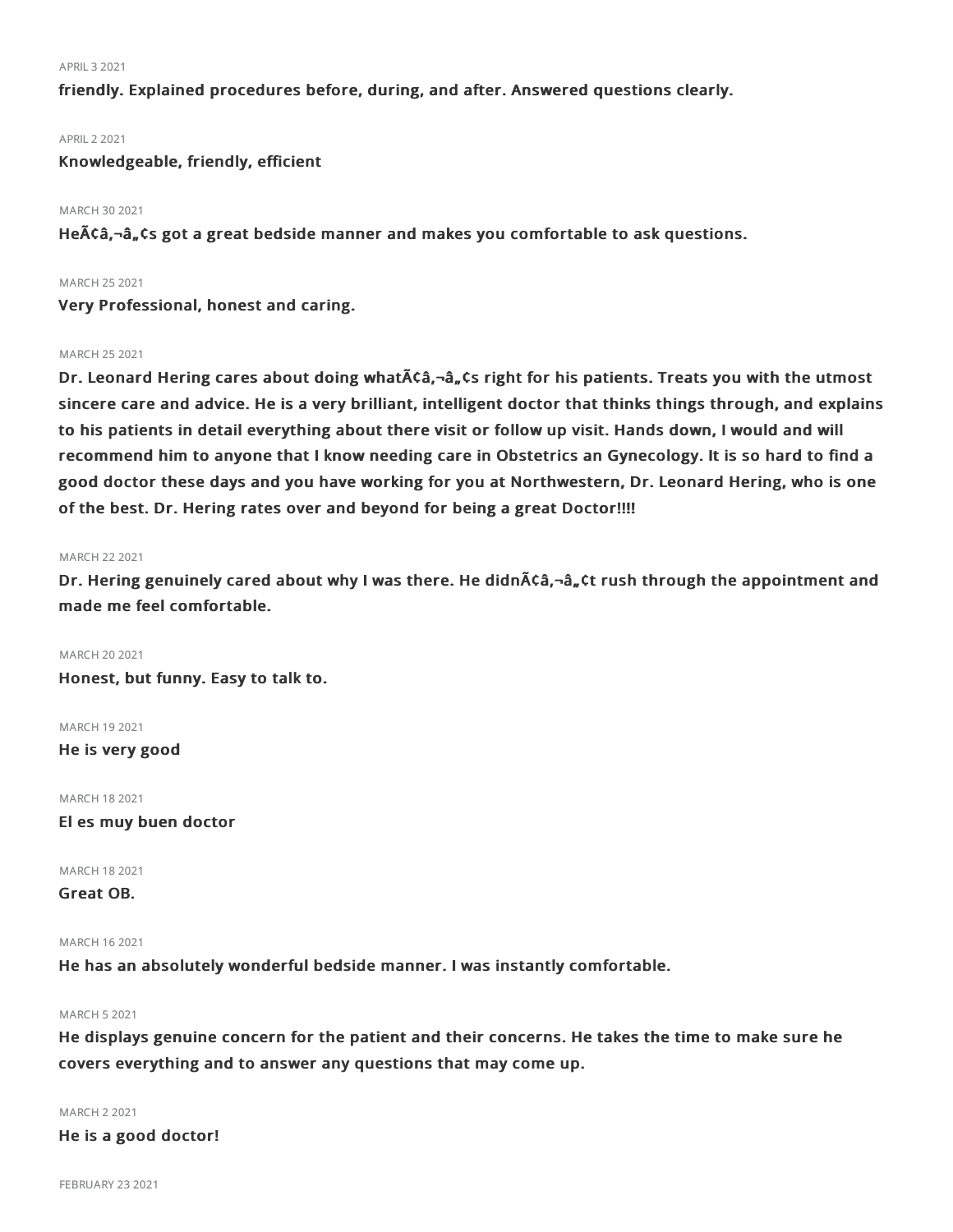#### APRIL32021

friendly. Explained procedures before, during, and after. Answered questions clearly.

#### APRIL22021

## Knowledgeable, friendly, efficient

## MARCH 30 2021

He $\tilde{A}$ Ca, $-\hat{a}$ , Cs got a great bedside manner and makes you comfortable to ask questions.

## MARCH 252021

Very Professional, honest and caring.

## MARCH 252021

Dr. Leonard Hering cares about doing what $\tilde{A}$ ca,- $\hat{a}_n$ cs right for his patients. Treats you with the utmost sincere care and advice. He is a very brilliant, intelligent doctor that thinks things through, and explains to his patients in detail everything about there visit or follow up visit. Hands down, I would and will recommend him to anyone that I know needing care in Obstetrics an Gynecology. It is so hard to find a good doctor these days and you have working for you at Northwestern, Dr. Leonard Hering, who is one of the best. Dr. Hering rates over and beyond for being a great Doctor!!!!

#### MARCH 22 2021

Dr. Hering genuinely cared about why I was there. He didn $\tilde{A}$ ca,  $\tilde{a}$ ,  $\tilde{a}$ ,  $\tilde{c}$  rush through the appointment and made me feel comfortable.

#### MARCH 20 2021

Honest, but funny. Easy to talk to.

#### MARCH 192021

He is very good

MARCH 182021

El es muy buen doctor

## MARCH 182021

Great OB.

## MARCH 162021

He has an absolutely wonderful bedside manner. I was instantly comfortable.

#### MARCH 52021

He displays genuine concern for the patient and their concerns. He takes the time to make sure he covers everything and to answer any questions that may come up.

MARCH 22021

He is a good doctor!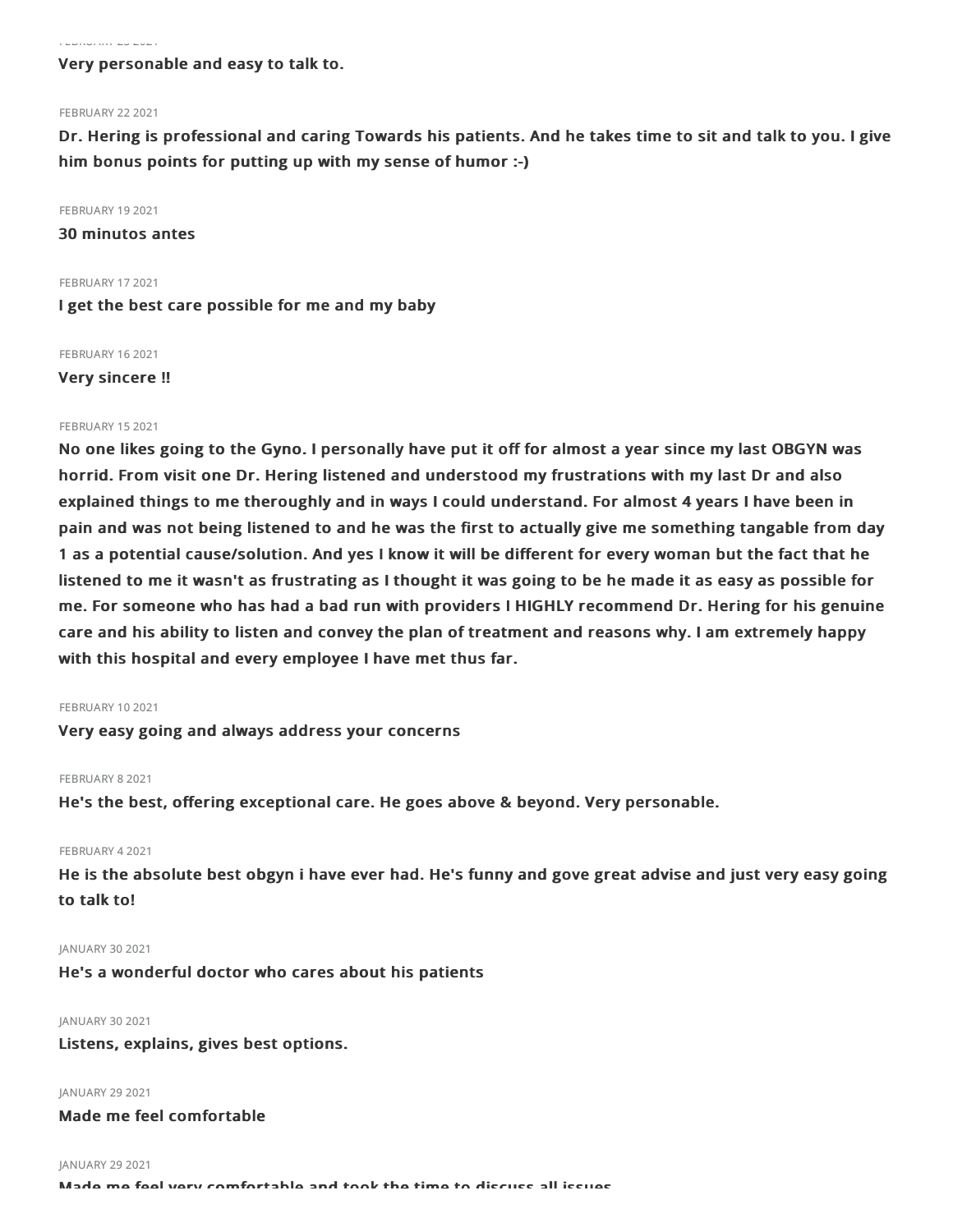#### FEBRUARY 232021

## Very personable and easy to talk to.

### FEBRUARY 22 2021

Dr. Hering is professional and caring Towards his patients. And he takes time to sit and talk to you. I give him bonus points for putting up with my sense of humor :-)

FEBRUARY 19 2021

30 minutos antes

FEBRUARY 17 2021

I get the best care possible for me and my baby

FEBRUARY 162021 Very sincere !!

#### FEBRUARY 152021

No one likes going to the Gyno. I personally have put it off for almost a year since my last OBGYN was horrid. From visit one Dr. Hering listened and understood my frustrations with my last Dr and also explained things to me theroughly and in ways I could understand. For almost 4 years I have been in pain and was not being listened to and he was the first to actually give me something tangable from day 1 as a potential cause/solution. And yes I know it will be different for every woman but the fact that he listened to me it wasn't as frustrating as I thought it was going to be he made it as easy as possible for me. For someone who has had a bad run with providers I HIGHLY recommend Dr. Hering for his genuine care and his ability to listen and convey the plan of treatment and reasons why. I am extremely happy with this hospital and every employee I have met thus far.

#### FEBRUARY 102021

Very easy going and always address your concerns

#### FEBRUARY 8 2021

He's the best, offering exceptional care. He goes above & beyond. Very personable.

#### FEBRUARY 42021

He is the absolute best obgyn i have ever had. He's funny and gove great advise and just very easy going to talk to!

## JANUARY 30 2021

He's a wonderful doctor who cares about his patients

#### JANUARY 30 2021

Listens, explains, gives best options.

JANUARY 29 2021

Made me feel comfortable

JANUARY 29 2021

Made me feel very comfortable and took the time to discuss all issues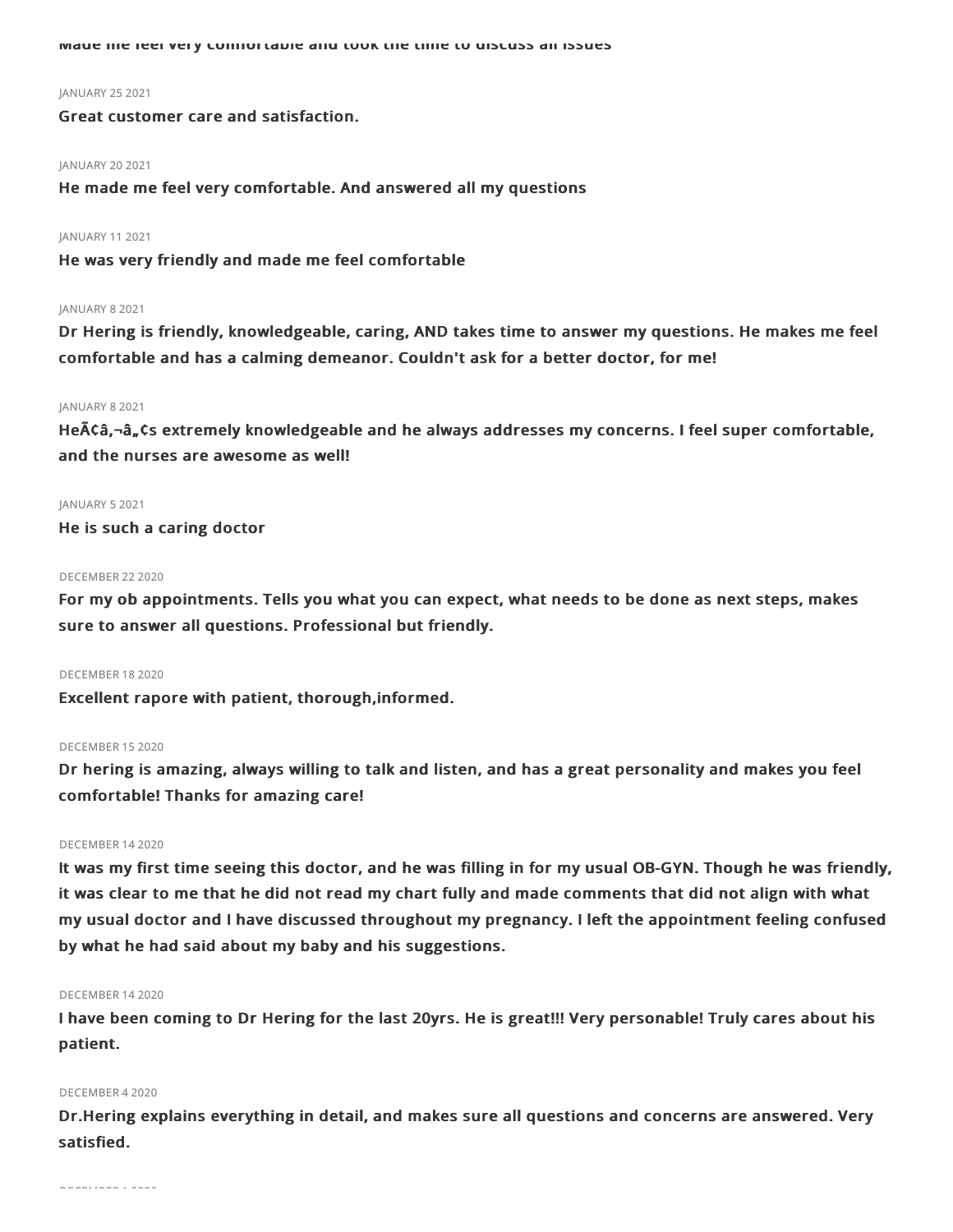Made me feel very comfortable and took the time to discuss all issues

#### JANUARY 25 2021

Great customer care and satisfaction.

#### JANUARY 20 2021

He made me feel very comfortable. And answered all my questions

#### JANUARY 112021

He was very friendly and made me feel comfortable

## JANUARY 82021

Dr Hering is friendly, knowledgeable, caring, AND takes time to answer my questions. He makes me feel comfortable and has a calming demeanor. Couldn't ask for a better doctor, for me!

#### JANUARY 82021

He $\tilde{A}$ Ca, $-\hat{a}_n$ Cs extremely knowledgeable and he always addresses my concerns. I feel super comfortable, and the nurses are awesome as well!

#### JANUARY 52021

He is such a caring doctor

#### DECEMBER 222020

For my ob appointments. Tells you what you can expect, what needs to be done as next steps, makes sure to answer all questions. Professional but friendly.

## DECEMBER 182020

Excellent rapore with patient, thorough,informed.

#### DECEMBER 152020

Dr hering is amazing, always willing to talk and listen, and has a great personality and makes you feel comfortable! Thanks for amazing care!

## DECEMBER 142020

It was my first time seeing this doctor, and he was filling in for my usual OB-GYN. Though he was friendly, it was clear to me that he did not read my chart fully and made comments that did not align with what my usual doctor and I have discussed throughout my pregnancy. I left the appointment feeling confused by what he had said about my baby and his suggestions.

## DECEMBER 142020

I have been coming to Dr Hering for the last 20yrs. He is great!!! Very personable! Truly cares about his patient.

## DECEMBER 42020

Dr.Hering explains everything in detail, and makes sure all questions and concerns are answered. Very satisfied.